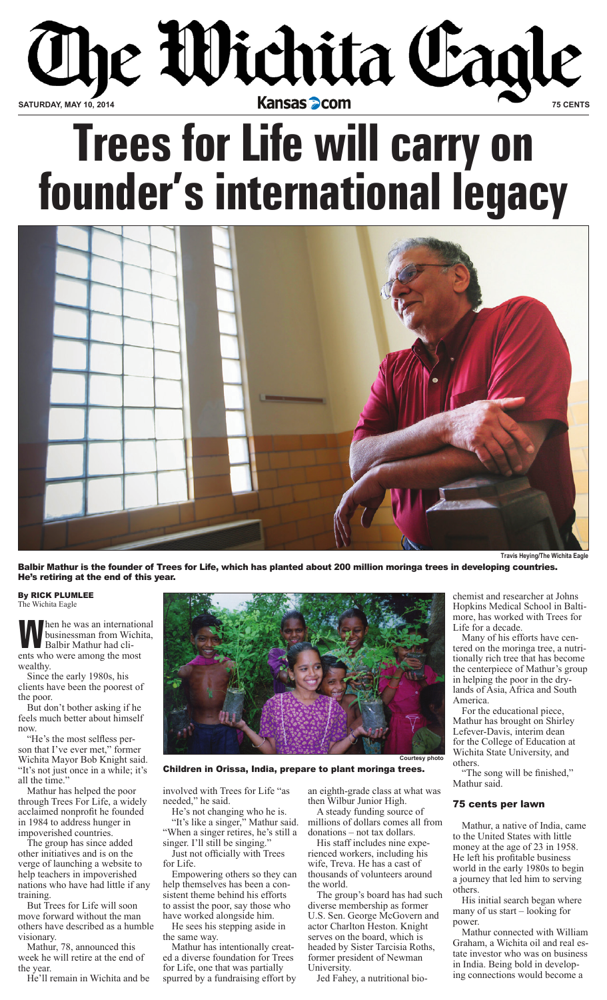

# **Trees for Life will carry on founder's international legacy**



Balbir Mathur is the founder of Trees for Life, which has planted about 200 million moringa trees in developing countries. He's retiring at the end of this year.

By RICK PLUMLEE The Wichita Eagle

**W**hen he was an international businessman from Wichita, Balbir Mathur had clients who were among the most wealthy.

Since the early 1980s, his clients have been the poorest of the poor.

But don't bother asking if he feels much better about himself now.

"He's the most selfless person that I've ever met," former Wichita Mayor Bob Knight said. "It's not just once in a while; it's all the time."

Mathur has helped the poor through Trees For Life, a widely acclaimed nonprofit he founded in 1984 to address hunger in impoverished countries.

The group has since added other initiatives and is on the verge of launching a website to help teachers in impoverished nations who have had little if any training.

But Trees for Life will soon move forward without the man others have described as a humble visionary.

Mathur, 78, announced this week he will retire at the end of

the year. He'll remain in Wichita and be



Children in Orissa, India, prepare to plant moringa trees.

involved with Trees for Life "as needed," he said.

He's not changing who he is. "It's like a singer," Mathur said. "When a singer retires, he's still a singer. I'll still be singing.

Just not officially with Trees for Life.

Empowering others so they can help themselves has been a consistent theme behind his efforts to assist the poor, say those who have worked alongside him.

He sees his stepping aside in the same way.

Mathur has intentionally created a diverse foundation for Trees for Life, one that was partially spurred by a fundraising effort by an eighth-grade class at what was then Wilbur Junior High.

A steady funding source of millions of dollars comes all from donations – not tax dollars.

His staff includes nine experienced workers, including his wife, Treva. He has a cast of thousands of volunteers around the world.

The group's board has had such diverse membership as former U.S. Sen. George McGovern and actor Charlton Heston. Knight serves on the board, which is headed by Sister Tarcisia Roths, former president of Newman **University** 

Jed Fahey, a nutritional bio-

**Travis Heying/The Wichita Eagle**

chemist and researcher at Johns Hopkins Medical School in Baltimore, has worked with Trees for Life for a decade.

Many of his efforts have centered on the moringa tree, a nutritionally rich tree that has become the centerpiece of Mathur's group in helping the poor in the drylands of Asia, Africa and South America.

For the educational piece, Mathur has brought on Shirley Lefever-Davis, interim dean for the College of Education at Wichita State University, and others.

"The song will be finished," Mathur said.

## 75 cents per lawn

Mathur, a native of India, came to the United States with little money at the age of 23 in 1958. He left his profitable business world in the early 1980s to begin a journey that led him to serving others.

His initial search began where many of us start – looking for power.

Mathur connected with William Graham, a Wichita oil and real estate investor who was on business in India. Being bold in developing connections would become a

**Courtesy photo**